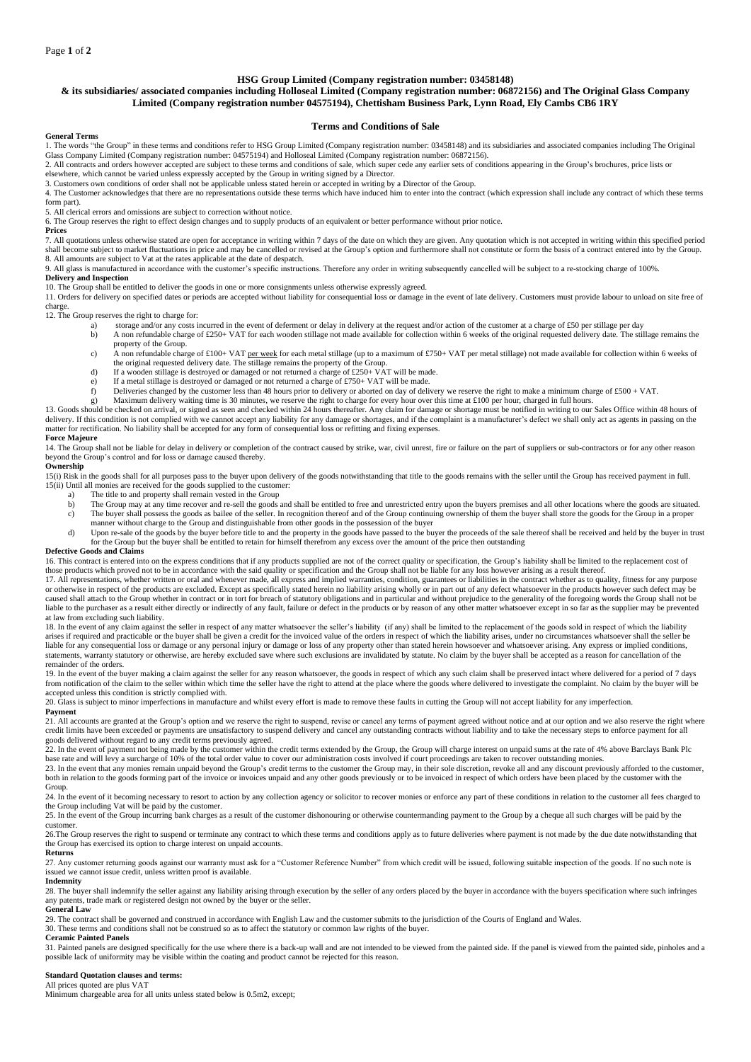## **HSG Group Limited (Company registration number: 03458148)**

# **& its subsidiaries/ associated companies including Holloseal Limited (Company registration number: 06872156) and The Original Glass Company Limited (Company registration number 04575194), Chettisham Business Park, Lynn Road, Ely Cambs CB6 1RY**

## **Terms and Conditions of Sale**

**General Terms**

1. The words "the Group" in these terms and conditions refer to HSG Group Limited (Company registration number: 03458148) and its subsidiaries and associated companies including The Original 1. The words "the Group" in the Glass Company Limited (Company registration number: 04575194) and Holloseal Limited (Company registration number: 06872156).

2. All contracts and orders however accepted are subject to these terms and conditions of sale, which super cede any earlier sets of conditions appearing in the Group's brochures, price lists or elsewhere, which cannot be varied unless expressly accepted by the Group in writing signed by a Director.

3. Customers own conditions of order shall not be applicable unless stated herein or accepted in writing by a Director of the Group.

4. The Customer acknowledges that there are no representations outside these terms which have induced him to enter into the contract (which expression shall include any contract of which these terms form part).

5. All clerical errors and omissions are subject to correction without notice.

6. The Group reserves the right to effect design changes and to supply products of an equivalent or better performance without prior notice.

# **Prices**

7. All quotations unless otherwise stated are open for acceptance in writing within 7 days of the date on which they are given. Any quotation which is not accepted in writing within this specified period shall become subject to market fluctuations in price and may be cancelled or revised at the Group's option and furthermore shall not constitute or form the basis of a contract entered into by the Group.<br>8. All amounts are

# 9. All glass is manufactured in accordance with the customer's specific instructions. Therefore any order in writing subsequently cancelled will be subject to a re-stocking charge of 100%.

**Delivery and Inspection** 10. The Group shall be entitled to deliver the goods in one or more consignments unless otherwise expressly agreed.

11. Orders for delivery on specified dates or periods are accepted without liability for consequential loss or damage in the event of late delivery. Customers must provide labour to unload on site free of 11. Orders for de charge.

12. The Group reserves the right to charge for:

- storage and/or any costs incurred in the event of deferment or delay in delivery at the request and/or action of the customer at a charge of £50 per stillage per day
- b) A non refundable charge of £250+ VAT for each wooden stillage not made available for collection within 6 weeks of the original requested delivery date. The stillage remains the property of the Group.
- c) A non refundable charge of £100+ VAT per week for each metal stillage (up to a maximum of £750+ VAT per metal stillage) not made available for collection within 6 weeks of the original requested delivery date. The stillage remains the property of the Group.<br>d) If a wooden stillage is destroyed or damaged or not returned a charge of £250+ VAT will be made.
- 
- e) If a metal stillage is destroyed or damaged or not returned a charge of £750+ VAT will be made.<br>
f) Deliveries changed by the customer less than 48 hours prior to delivery or aborted on day of deli
- 
- f) Deliveries changed by the customer less than 48 hours prior to delivery or aborted on day of delivery we reserve the right to make a minimum charge of £500 + VAT.<br>g) Maximum delivery waiting time is 30 minutes, we reser

13. Goods should be checked on arrival, or signed as seen and checked within 24 hours thereafter. Any claim for damage or shortage must be notified in writing to our Sales Office within 48 hours of delivery. If this condition is not complied with we cannot accept any liability for any damage or shortages, and if the complaint is a manufacturer's defect we shall only act as agents in passing on the matter for rectification. No liability shall be accepted for any form of consequential loss or refitting and fixing expenses.

## **Force Majeure**

14. The Group shall not be liable for delay in delivery or completion of the contract caused by strike, war, civil unrest, fire or failure on the part of suppliers or sub-contractors or for any other reason beyond the Group's control and for loss or damage caused thereby.

#### **Ownership**

15(i) Risk in the goods shall for all purposes pass to the buyer upon delivery of the goods notwithstanding that title to the goods remains with the seller until the Group has received payment in full. 15(ii) Until all monies are received for the goods supplied to the customer:<br>a) The title to and property shall remain vested in the Group

- The title to and property shall remain vested in the Group
- b) The Group may at any time recover and re-sell the goods and shall be entitled to free and unrestricted entry upon the buyers premises and all other locations where the goods are situated. c) The buyer shall possess the goods as bailee of the seller. In recognition thereof and of the Group continuing ownership of them the buyer shall store the goods for the Group in a proper manner without charge to the Group and distinguishable from other goods in the possession of the buyer
- d) Upon re-sale of the goods by the buyer before title to and the property in the goods have passed to the buyer the proceeds of the sale thereof shall be received and held by the buyer in trust for the Group but the buyer shall be entitled to retain for himself therefrom any excess over the amount of the price then outstanding

## **Defective Goods and Claims**

16. This contract is entered into on the express conditions that if any products supplied are not of the correct quality or specification, the Group's liability shall be limited to the replacement cost of those products which proved not to be in accordance with the said quality or specification and the Group shall not be liable for any loss however arising as a result thereof.

17. All representations, whether written or oral and whenever made, all express and implied warranties, condition, guarantees or liabilities in the contract whether as to quality, fitness for any purpose or otherwise in respect of the products are excluded. Except as specifically stated herein no liability arising wholly or in part out of any defect whatsoever in the products however such defect may be<br>caused shall attach liable to the purchaser as a result either directly or indirectly of any fault, failure or defect in the products or by reason of any other matter whatsoever except in so far as the supplier may be prevented at law from excluding such liability.

18. In the event of any claim against the seller in respect of any matter whatsoever the seller's liability (if any) shall be limited to the replacement of the goods sold in respect of which the liability 18. arises if required and practicable or the buyer shall be given a credit for the invoiced value of the orders in respect of which the liability arises, under no circumstances whatsoever shall the seller be liable for any consequential loss or damage or any personal injury or damage or loss of any property other than stated herein howsoever and whatsoever arising. Any express or implied conditions,<br>statements, warranty statut remainder of the orders.

19. In the event of the buyer making a claim against the seller for any reason whatsoever, the goods in respect of which any such claim shall be preserved intact where delivered for a period of 7 days<br>from notification of accepted unless this condition is strictly complied with.

20. Glass is subject to minor imperfections in manufacture and whilst every effort is made to remove these faults in cutting the Group will not accept liability for any imperfection. **Payment**

21. All accounts are granted at the Group's option and we reserve the right to suspend, revise or cancel any terms of payment agreed without notice and at our option and we also reserve the right where credit limits have been exceeded or payments are unsatisfactory to suspend delivery and cancel any outstanding contracts without liability and to take the necessary steps to enforce payment for all goods delivered without regard to any credit terms previously agreed.

22. In the event of payment not being made by the customer within the credit terms extended by the Group, the Group will charge interest on unpaid sums at the rate of 4% above Barclays Bank Plc  $\mu$  as expected in the total order value to cover our administration costs involved if court proceedings are taken to recover outstanding monies.

23. In the event that any monies remain unpaid beyond the Group's credit terms to the customer the Group may, in their sole discretion, revoke all and any discount previously afforded to the customer, both in relation to the goods forming part of the invoice or invoices unpaid and any other goods previously or to be invoiced in respect of which orders have been placed by the customer with the Group.

24. In the event of it becoming necessary to resort to action by any collection agency or solicitor to recover monies or enforce any part of these conditions in relation to the customer all fees charged to  $24$ . the Group including Vat will be paid by the customer.

25. In the event of the Group incurring bank charges as a result of the customer dishonouring or otherwise countermanding payment to the Group by a cheque all such charges will be paid by the

# customer.

26.The Group reserves the right to suspend or terminate any contract to which these terms and conditions apply as to future deliveries where payment is not made by the due date notwithstanding that the Group has exercised its option to charge interest on unpaid accounts.

## **Returns**

27. Any customer returning goods against our warranty must ask for a "Customer Reference Number" from which credit will be issued, following suitable inspection of the goods. If no such note is issued we cannot issue credit, unless written proof is available.

# **Indemnity**

28. The buyer shall indemnify the seller against any liability arising through execution by the seller of any orders placed by the buyer in accordance with the buyers specification where such infringes any patents, trade mark or registered design not owned by the buyer or the seller.

## **General Law**

29. The contract shall be governed and construed in accordance with English Law and the customer submits to the jurisdiction of the Courts of England and Wales.

30. These terms and conditions shall not be construed so as to affect the statutory or common law rights of the buyer.

# **Ceramic Painted Panels**

31. Painted panels are designed specifically for the use where there is a back-up wall and are not intended to be viewed from the painted side. If the panel is viewed from the painted side, pinholes and a possible lack of uniformity may be visible within the coating and product cannot be rejected for this reason.

## **Standard Quotation clauses and terms:** All prices quoted are plus VAT

Minimum chargeable area for all units unless stated below is 0.5m2, except;